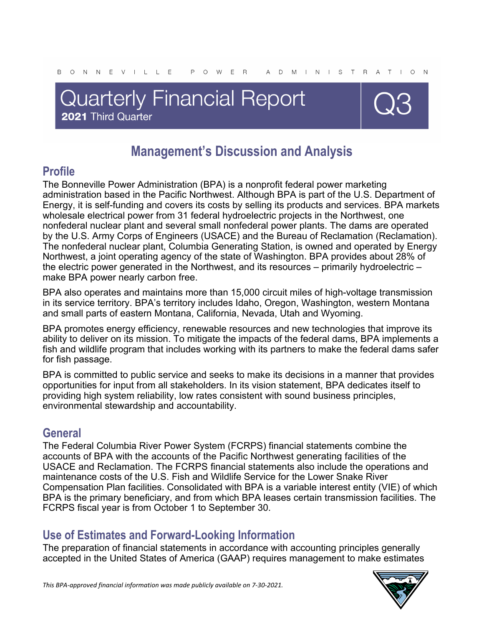# **Quarterly Financial Report** 2021 Third Quarter



## **Management's Discussion and Analysis**

## **Profile**

The Bonneville Power Administration (BPA) is a nonprofit federal power marketing administration based in the Pacific Northwest. Although BPA is part of the U.S. Department of Energy, it is self-funding and covers its costs by selling its products and services. BPA markets wholesale electrical power from 31 federal hydroelectric projects in the Northwest, one nonfederal nuclear plant and several small nonfederal power plants. The dams are operated by the U.S. Army Corps of Engineers (USACE) and the Bureau of Reclamation (Reclamation). The nonfederal nuclear plant, Columbia Generating Station, is owned and operated by Energy Northwest, a joint operating agency of the state of Washington. BPA provides about 28% of the electric power generated in the Northwest, and its resources – primarily hydroelectric – make BPA power nearly carbon free.

BPA also operates and maintains more than 15,000 circuit miles of high-voltage transmission in its service territory. BPA's territory includes Idaho, Oregon, Washington, western Montana and small parts of eastern Montana, California, Nevada, Utah and Wyoming.

BPA promotes energy efficiency, renewable resources and new technologies that improve its ability to deliver on its mission. To mitigate the impacts of the federal dams, BPA implements a fish and wildlife program that includes working with its partners to make the federal dams safer for fish passage.

BPA is committed to public service and seeks to make its decisions in a manner that provides opportunities for input from all stakeholders. In its vision statement, BPA dedicates itself to providing high system reliability, low rates consistent with sound business principles, environmental stewardship and accountability.

## **General**

The Federal Columbia River Power System (FCRPS) financial statements combine the accounts of BPA with the accounts of the Pacific Northwest generating facilities of the USACE and Reclamation. The FCRPS financial statements also include the operations and maintenance costs of the U.S. Fish and Wildlife Service for the Lower Snake River Compensation Plan facilities. Consolidated with BPA is a variable interest entity (VIE) of which BPA is the primary beneficiary, and from which BPA leases certain transmission facilities. The FCRPS fiscal year is from October 1 to September 30.

## **Use of Estimates and Forward-Looking Information**

The preparation of financial statements in accordance with accounting principles generally accepted in the United States of America (GAAP) requires management to make estimates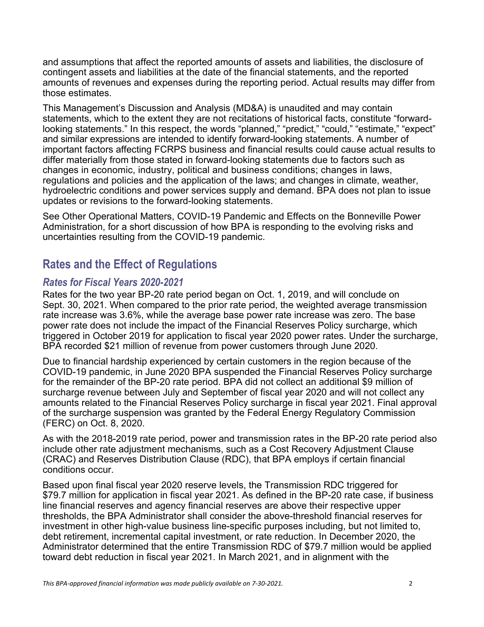and assumptions that affect the reported amounts of assets and liabilities, the disclosure of contingent assets and liabilities at the date of the financial statements, and the reported amounts of revenues and expenses during the reporting period. Actual results may differ from those estimates.

This Management's Discussion and Analysis (MD&A) is unaudited and may contain statements, which to the extent they are not recitations of historical facts, constitute "forwardlooking statements." In this respect, the words "planned," "predict," "could," "estimate," "expect" and similar expressions are intended to identify forward-looking statements. A number of important factors affecting FCRPS business and financial results could cause actual results to differ materially from those stated in forward-looking statements due to factors such as changes in economic, industry, political and business conditions; changes in laws, regulations and policies and the application of the laws; and changes in climate, weather, hydroelectric conditions and power services supply and demand. BPA does not plan to issue updates or revisions to the forward-looking statements.

See Other Operational Matters, COVID-19 Pandemic and Effects on the Bonneville Power Administration, for a short discussion of how BPA is responding to the evolving risks and uncertainties resulting from the COVID-19 pandemic.

## **Rates and the Effect of Regulations**

### *Rates for Fiscal Years 2020-2021*

Rates for the two year BP-20 rate period began on Oct. 1, 2019, and will conclude on Sept. 30, 2021. When compared to the prior rate period, the weighted average transmission rate increase was 3.6%, while the average base power rate increase was zero. The base power rate does not include the impact of the Financial Reserves Policy surcharge, which triggered in October 2019 for application to fiscal year 2020 power rates. Under the surcharge, BPA recorded \$21 million of revenue from power customers through June 2020.

Due to financial hardship experienced by certain customers in the region because of the COVID-19 pandemic, in June 2020 BPA suspended the Financial Reserves Policy surcharge for the remainder of the BP-20 rate period. BPA did not collect an additional \$9 million of surcharge revenue between July and September of fiscal year 2020 and will not collect any amounts related to the Financial Reserves Policy surcharge in fiscal year 2021. Final approval of the surcharge suspension was granted by the Federal Energy Regulatory Commission (FERC) on Oct. 8, 2020.

As with the 2018-2019 rate period, power and transmission rates in the BP-20 rate period also include other rate adjustment mechanisms, such as a Cost Recovery Adjustment Clause (CRAC) and Reserves Distribution Clause (RDC), that BPA employs if certain financial conditions occur.

Based upon final fiscal year 2020 reserve levels, the Transmission RDC triggered for \$79.7 million for application in fiscal year 2021. As defined in the BP-20 rate case, if business line financial reserves and agency financial reserves are above their respective upper thresholds, the BPA Administrator shall consider the above-threshold financial reserves for investment in other high-value business line-specific purposes including, but not limited to, debt retirement, incremental capital investment, or rate reduction. In December 2020, the Administrator determined that the entire Transmission RDC of \$79.7 million would be applied toward debt reduction in fiscal year 2021. In March 2021, and in alignment with the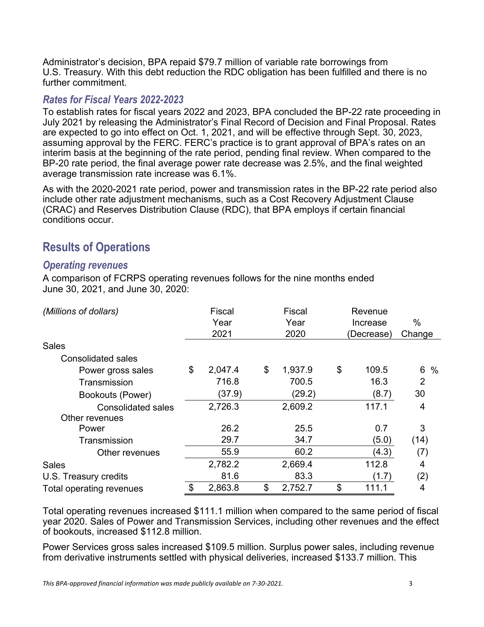Administrator's decision, BPA repaid \$79.7 million of variable rate borrowings from U.S. Treasury. With this debt reduction the RDC obligation has been fulfilled and there is no further commitment.

#### *Rates for Fiscal Years 2022-2023*

To establish rates for fiscal years 2022 and 2023, BPA concluded the BP-22 rate proceeding in July 2021 by releasing the Administrator's Final Record of Decision and Final Proposal. Rates are expected to go into effect on Oct. 1, 2021, and will be effective through Sept. 30, 2023, assuming approval by the FERC. FERC's practice is to grant approval of BPA's rates on an interim basis at the beginning of the rate period, pending final review. When compared to the BP-20 rate period, the final average power rate decrease was 2.5%, and the final weighted average transmission rate increase was 6.1%.

As with the 2020-2021 rate period, power and transmission rates in the BP-22 rate period also include other rate adjustment mechanisms, such as a Cost Recovery Adjustment Clause (CRAC) and Reserves Distribution Clause (RDC), that BPA employs if certain financial conditions occur.

## **Results of Operations**

#### *Operating revenues*

A comparison of FCRPS operating revenues follows for the nine months ended June 30, 2021, and June 30, 2020:

| (Millions of dollars)     | <b>Fiscal</b> | Fiscal        | Revenue     |                |
|---------------------------|---------------|---------------|-------------|----------------|
|                           | Year          | Year          | Increase    | $\%$           |
|                           | 2021          | 2020          | (Decrease)  | Change         |
| <b>Sales</b>              |               |               |             |                |
| Consolidated sales        |               |               |             |                |
| Power gross sales         | \$<br>2,047.4 | \$<br>1,937.9 | \$<br>109.5 | 6<br>$\%$      |
| Transmission              | 716.8         | 700.5         | 16.3        | $\overline{2}$ |
| Bookouts (Power)          | (37.9)        | (29.2)        | (8.7)       | 30             |
| <b>Consolidated sales</b> | 2,726.3       | 2,609.2       | 117.1       | 4              |
| Other revenues            |               |               |             |                |
| Power                     | 26.2          | 25.5          | 0.7         | 3              |
| Transmission              | 29.7          | 34.7          | (5.0)       | (14)           |
| Other revenues            | 55.9          | 60.2          | (4.3)       | (7)            |
| <b>Sales</b>              | 2,782.2       | 2,669.4       | 112.8       | 4              |
| U.S. Treasury credits     | 81.6          | 83.3          | (1.7)       | (2)            |
| Total operating revenues  | \$<br>2,863.8 | \$<br>2,752.7 | \$<br>111.1 | 4              |

Total operating revenues increased \$111.1 million when compared to the same period of fiscal year 2020. Sales of Power and Transmission Services, including other revenues and the effect of bookouts, increased \$112.8 million.

Power Services gross sales increased \$109.5 million. Surplus power sales, including revenue from derivative instruments settled with physical deliveries, increased \$133.7 million. This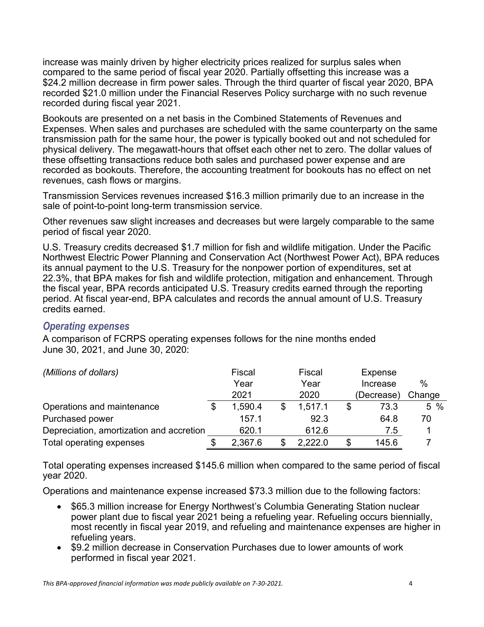increase was mainly driven by higher electricity prices realized for surplus sales when compared to the same period of fiscal year 2020. Partially offsetting this increase was a \$24.2 million decrease in firm power sales. Through the third quarter of fiscal year 2020, BPA recorded \$21.0 million under the Financial Reserves Policy surcharge with no such revenue recorded during fiscal year 2021.

Bookouts are presented on a net basis in the Combined Statements of Revenues and Expenses. When sales and purchases are scheduled with the same counterparty on the same transmission path for the same hour, the power is typically booked out and not scheduled for physical delivery. The megawatt-hours that offset each other net to zero. The dollar values of these offsetting transactions reduce both sales and purchased power expense and are recorded as bookouts. Therefore, the accounting treatment for bookouts has no effect on net revenues, cash flows or margins.

Transmission Services revenues increased \$16.3 million primarily due to an increase in the sale of point-to-point long-term transmission service.

Other revenues saw slight increases and decreases but were largely comparable to the same period of fiscal year 2020.

U.S. Treasury credits decreased \$1.7 million for fish and wildlife mitigation. Under the Pacific Northwest Electric Power Planning and Conservation Act (Northwest Power Act), BPA reduces its annual payment to the U.S. Treasury for the nonpower portion of expenditures, set at 22.3%, that BPA makes for fish and wildlife protection, mitigation and enhancement. Through the fiscal year, BPA records anticipated U.S. Treasury credits earned through the reporting period. At fiscal year-end, BPA calculates and records the annual amount of U.S. Treasury credits earned.

#### *Operating expenses*

A comparison of FCRPS operating expenses follows for the nine months ended June 30, 2021, and June 30, 2020:

| (Millions of dollars)                    |  | Fiscal  |  | Fiscal  |   | <b>Expense</b> |        |  |
|------------------------------------------|--|---------|--|---------|---|----------------|--------|--|
|                                          |  | Year    |  | Year    |   | Increase       | $\%$   |  |
|                                          |  | 2021    |  | 2020    |   | (Decrease)     | Change |  |
| Operations and maintenance               |  | 1,590.4 |  | 1,517.1 |   | 73.3           | $5\%$  |  |
| Purchased power                          |  | 157.1   |  | 92.3    |   | 64.8           | 70     |  |
| Depreciation, amortization and accretion |  | 620.1   |  | 612.6   |   | 7.5            |        |  |
| Total operating expenses                 |  | 2,367.6 |  | 2,222.0 | S | 145.6          |        |  |

Total operating expenses increased \$145.6 million when compared to the same period of fiscal year 2020.

Operations and maintenance expense increased \$73.3 million due to the following factors:

- \$65.3 million increase for Energy Northwest's Columbia Generating Station nuclear power plant due to fiscal year 2021 being a refueling year. Refueling occurs biennially, most recently in fiscal year 2019, and refueling and maintenance expenses are higher in refueling years.
- \$9.2 million decrease in Conservation Purchases due to lower amounts of work performed in fiscal year 2021.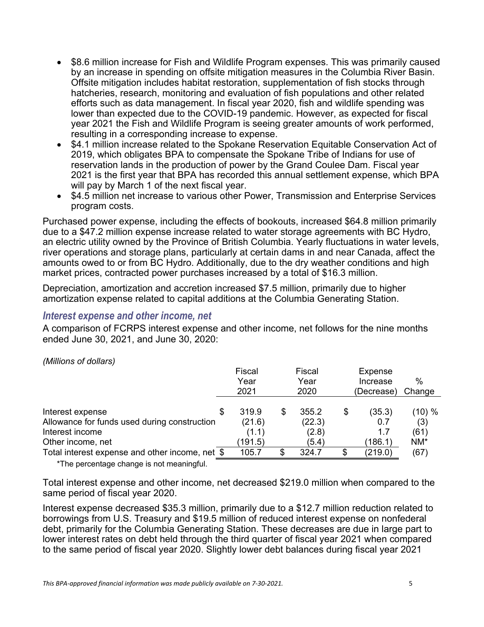- \$8.6 million increase for Fish and Wildlife Program expenses. This was primarily caused by an increase in spending on offsite mitigation measures in the Columbia River Basin. Offsite mitigation includes habitat restoration, supplementation of fish stocks through hatcheries, research, monitoring and evaluation of fish populations and other related efforts such as data management. In fiscal year 2020, fish and wildlife spending was lower than expected due to the COVID-19 pandemic. However, as expected for fiscal year 2021 the Fish and Wildlife Program is seeing greater amounts of work performed, resulting in a corresponding increase to expense.
- \$4.1 million increase related to the Spokane Reservation Equitable Conservation Act of 2019, which obligates BPA to compensate the Spokane Tribe of Indians for use of reservation lands in the production of power by the Grand Coulee Dam. Fiscal year 2021 is the first year that BPA has recorded this annual settlement expense, which BPA will pay by March 1 of the next fiscal year.
- \$4.5 million net increase to various other Power, Transmission and Enterprise Services program costs.

Purchased power expense, including the effects of bookouts, increased \$64.8 million primarily due to a \$47.2 million expense increase related to water storage agreements with BC Hydro, an electric utility owned by the Province of British Columbia. Yearly fluctuations in water levels, river operations and storage plans, particularly at certain dams in and near Canada, affect the amounts owed to or from BC Hydro. Additionally, due to the dry weather conditions and high market prices, contracted power purchases increased by a total of \$16.3 million.

Depreciation, amortization and accretion increased \$7.5 million, primarily due to higher amortization expense related to capital additions at the Columbia Generating Station.

#### *Interest expense and other income, net*

A comparison of FCRPS interest expense and other income, net follows for the nine months ended June 30, 2021, and June 30, 2020:

|                                                                                              | Fiscal<br>Year<br>2021     | Fiscal<br>Year<br>2020   | Expense<br>Increase<br>(Decrease) |                       | $\%$<br>Change     |  |
|----------------------------------------------------------------------------------------------|----------------------------|--------------------------|-----------------------------------|-----------------------|--------------------|--|
| Interest expense<br>S<br>Allowance for funds used during construction                        | 319.9                      | 355.2<br>\$              | \$                                | (35.3)                | (10) %             |  |
| Interest income<br>Other income, net                                                         | (21.6)<br>(1.1)<br>(191.5) | (22.3)<br>(2.8)<br>(5.4) |                                   | 0.7<br>1.7<br>(186.1) | (3)<br>(61)<br>NM* |  |
| Total interest expense and other income, net \$<br>*The percentage change is not meaningful. | 105.7                      | 324.7                    |                                   | (219.0)               | (67)               |  |

*(Millions of dollars)* 

Total interest expense and other income, net decreased \$219.0 million when compared to the same period of fiscal year 2020.

Interest expense decreased \$35.3 million, primarily due to a \$12.7 million reduction related to borrowings from U.S. Treasury and \$19.5 million of reduced interest expense on nonfederal debt, primarily for the Columbia Generating Station. These decreases are due in large part to lower interest rates on debt held through the third quarter of fiscal year 2021 when compared to the same period of fiscal year 2020. Slightly lower debt balances during fiscal year 2021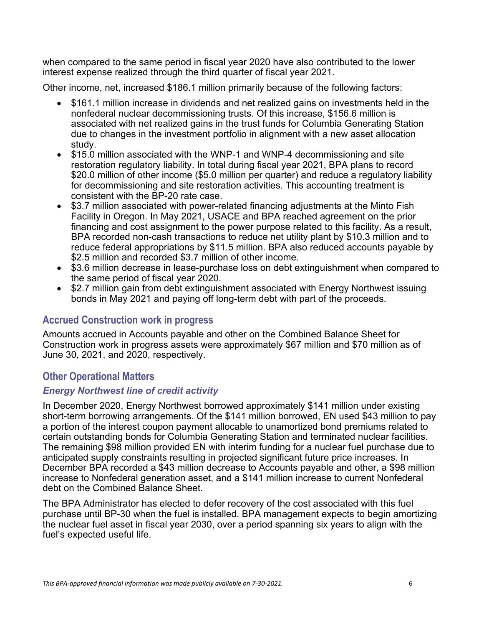when compared to the same period in fiscal year 2020 have also contributed to the lower interest expense realized through the third quarter of fiscal year 2021.

Other income, net, increased \$186.1 million primarily because of the following factors:

- \$161.1 million increase in dividends and net realized gains on investments held in the nonfederal nuclear decommissioning trusts. Of this increase, \$156.6 million is associated with net realized gains in the trust funds for Columbia Generating Station due to changes in the investment portfolio in alignment with a new asset allocation study.
- \$15.0 million associated with the WNP-1 and WNP-4 decommissioning and site restoration regulatory liability. In total during fiscal year 2021, BPA plans to record \$20.0 million of other income (\$5.0 million per quarter) and reduce a regulatory liability for decommissioning and site restoration activities. This accounting treatment is consistent with the BP-20 rate case.
- \$3.7 million associated with power-related financing adjustments at the Minto Fish Facility in Oregon. In May 2021, USACE and BPA reached agreement on the prior financing and cost assignment to the power purpose related to this facility. As a result, BPA recorded non-cash transactions to reduce net utility plant by \$10.3 million and to reduce federal appropriations by \$11.5 million. BPA also reduced accounts payable by \$2.5 million and recorded \$3.7 million of other income.
- \$3.6 million decrease in lease-purchase loss on debt extinguishment when compared to the same period of fiscal year 2020.
- \$2.7 million gain from debt extinguishment associated with Energy Northwest issuing bonds in May 2021 and paying off long-term debt with part of the proceeds.

### **Accrued Construction work in progress**

Amounts accrued in Accounts payable and other on the Combined Balance Sheet for Construction work in progress assets were approximately \$67 million and \$70 million as of June 30, 2021, and 2020, respectively.

## **Other Operational Matters**

### *Energy Northwest line of credit activity*

In December 2020, Energy Northwest borrowed approximately \$141 million under existing short-term borrowing arrangements. Of the \$141 million borrowed, EN used \$43 million to pay a portion of the interest coupon payment allocable to unamortized bond premiums related to certain outstanding bonds for Columbia Generating Station and terminated nuclear facilities. The remaining \$98 million provided EN with interim funding for a nuclear fuel purchase due to anticipated supply constraints resulting in projected significant future price increases. In December BPA recorded a \$43 million decrease to Accounts payable and other, a \$98 million increase to Nonfederal generation asset, and a \$141 million increase to current Nonfederal debt on the Combined Balance Sheet.

The BPA Administrator has elected to defer recovery of the cost associated with this fuel purchase until BP-30 when the fuel is installed. BPA management expects to begin amortizing the nuclear fuel asset in fiscal year 2030, over a period spanning six years to align with the fuel's expected useful life.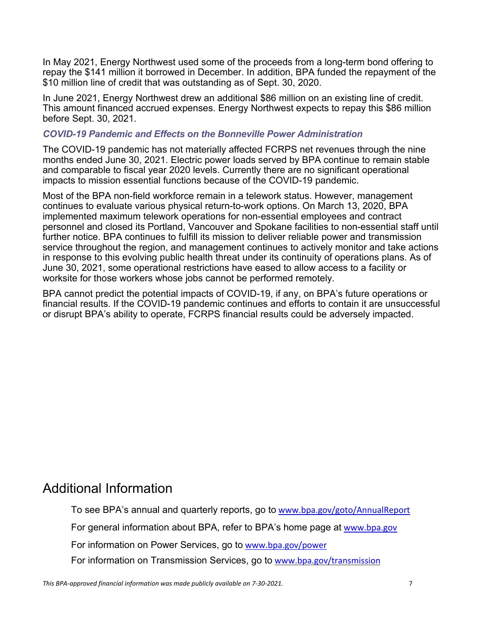In May 2021, Energy Northwest used some of the proceeds from a long-term bond offering to repay the \$141 million it borrowed in December. In addition, BPA funded the repayment of the \$10 million line of credit that was outstanding as of Sept. 30, 2020.

In June 2021, Energy Northwest drew an additional \$86 million on an existing line of credit. This amount financed accrued expenses. Energy Northwest expects to repay this \$86 million before Sept. 30, 2021.

#### *COVID-19 Pandemic and Effects on the Bonneville Power Administration*

The COVID-19 pandemic has not materially affected FCRPS net revenues through the nine months ended June 30, 2021. Electric power loads served by BPA continue to remain stable and comparable to fiscal year 2020 levels. Currently there are no significant operational impacts to mission essential functions because of the COVID-19 pandemic.

Most of the BPA non-field workforce remain in a telework status. However, management continues to evaluate various physical return-to-work options. On March 13, 2020, BPA implemented maximum telework operations for non-essential employees and contract personnel and closed its Portland, Vancouver and Spokane facilities to non-essential staff until further notice. BPA continues to fulfill its mission to deliver reliable power and transmission service throughout the region, and management continues to actively monitor and take actions in response to this evolving public health threat under its continuity of operations plans. As of June 30, 2021, some operational restrictions have eased to allow access to a facility or worksite for those workers whose jobs cannot be performed remotely.

BPA cannot predict the potential impacts of COVID-19, if any, on BPA's future operations or financial results. If the COVID-19 pandemic continues and efforts to contain it are unsuccessful or disrupt BPA's ability to operate, FCRPS financial results could be adversely impacted.

## Additional Information

To see BPA's annual and quarterly reports, go to www.bpa.gov/goto/AnnualReport

For general information about BPA, refer to BPA's home page at www.bpa.gov

For information on Power Services, go to www.bpa.gov/power

For information on Transmission Services, go to www.bpa.gov/transmission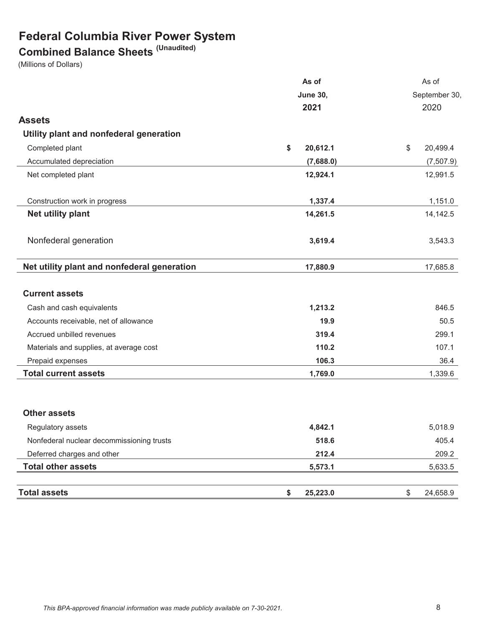## **Federal Columbia River Power System**

## **Combined Balance Sheets (Unaudited)**

(Millions of Dollars)

|                                             | As of           | As of                               |  |  |
|---------------------------------------------|-----------------|-------------------------------------|--|--|
|                                             | <b>June 30,</b> | September 30,                       |  |  |
|                                             | 2021            | 2020                                |  |  |
| <b>Assets</b>                               |                 |                                     |  |  |
| Utility plant and nonfederal generation     |                 |                                     |  |  |
| Completed plant                             | \$<br>20,612.1  | $\sqrt[6]{\frac{1}{2}}$<br>20,499.4 |  |  |
| Accumulated depreciation                    | (7,688.0)       | (7,507.9)                           |  |  |
| Net completed plant                         | 12,924.1        | 12,991.5                            |  |  |
| Construction work in progress               | 1,337.4         | 1,151.0                             |  |  |
| <b>Net utility plant</b>                    | 14,261.5        | 14,142.5                            |  |  |
| Nonfederal generation                       | 3,619.4         | 3,543.3                             |  |  |
| Net utility plant and nonfederal generation | 17,880.9        | 17,685.8                            |  |  |
| <b>Current assets</b>                       |                 |                                     |  |  |
| Cash and cash equivalents                   | 1,213.2         | 846.5                               |  |  |
| Accounts receivable, net of allowance       | 19.9            | 50.5                                |  |  |
| Accrued unbilled revenues                   | 319.4           | 299.1                               |  |  |
| Materials and supplies, at average cost     | 110.2           | 107.1                               |  |  |
| Prepaid expenses                            | 106.3           | 36.4                                |  |  |
| <b>Total current assets</b>                 | 1,769.0         | 1,339.6                             |  |  |
| <b>Other assets</b>                         |                 |                                     |  |  |
| Regulatory assets                           | 4,842.1         | 5,018.9                             |  |  |
| Nonfederal nuclear decommissioning trusts   | 518.6           | 405.4                               |  |  |
| Deferred charges and other                  | 212.4           | 209.2                               |  |  |
| <b>Total other assets</b>                   | 5,573.1         | 5,633.5                             |  |  |
| <b>Total assets</b>                         | 25,223.0<br>\$  | \$<br>24,658.9                      |  |  |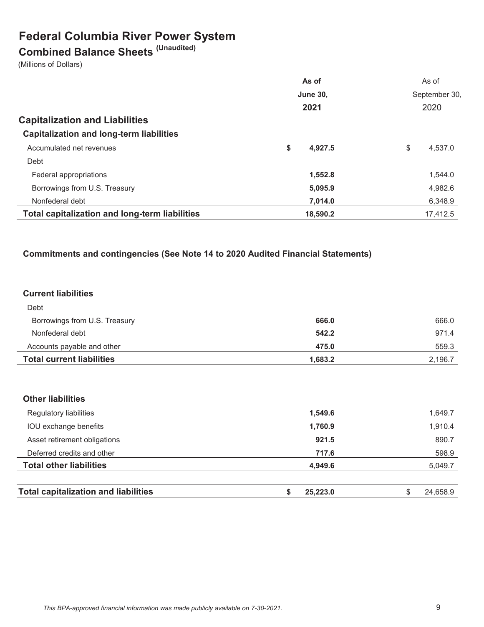## **Federal Columbia River Power System**

# **Combined Balance Sheets (Unaudited)**

(Millions of Dollars)

|                                                       | As of           | As of         |  |  |
|-------------------------------------------------------|-----------------|---------------|--|--|
|                                                       | <b>June 30,</b> | September 30, |  |  |
|                                                       | 2021            | 2020          |  |  |
| <b>Capitalization and Liabilities</b>                 |                 |               |  |  |
| <b>Capitalization and long-term liabilities</b>       |                 |               |  |  |
| Accumulated net revenues                              | \$<br>4,927.5   | \$<br>4.537.0 |  |  |
| Debt                                                  |                 |               |  |  |
| Federal appropriations                                | 1,552.8         | 1,544.0       |  |  |
| Borrowings from U.S. Treasury                         | 5,095.9         | 4,982.6       |  |  |
| Nonfederal debt                                       | 7,014.0         | 6,348.9       |  |  |
| <b>Total capitalization and long-term liabilities</b> | 18,590.2        | 17.412.5      |  |  |

#### **Commitments and contingencies (See Note 14 to 2020 Audited Financial Statements)**

#### **Current liabilities**

| <b>Total current liabilities</b> | 1.683.2 | 2,196.7 |
|----------------------------------|---------|---------|
| Accounts payable and other       | 475.0   | 559.3   |
| Nonfederal debt                  | 542.2   | 971.4   |
| Borrowings from U.S. Treasury    | 666.0   | 666.0   |
| Debt                             |         |         |

#### **Other liabilities**

| <b>Total capitalization and liabilities</b> | 25.223.0 | 24.658.9 |
|---------------------------------------------|----------|----------|
| <b>Total other liabilities</b>              | 4.949.6  | 5,049.7  |
| Deferred credits and other                  | 717.6    | 598.9    |
| Asset retirement obligations                | 921.5    | 890.7    |
| IOU exchange benefits                       | 1,760.9  | 1,910.4  |
| Regulatory liabilities                      | 1,549.6  | 1,649.7  |
|                                             |          |          |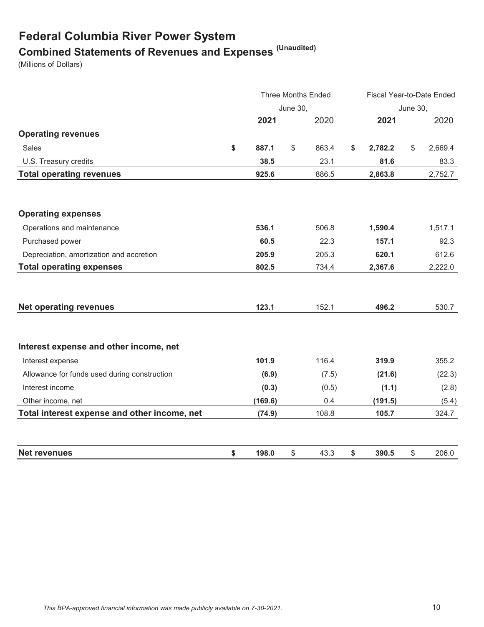# **Federal Columbia River Power System Combined Statements of Revenues and Expenses (Unaudited)**

(Millions of Dollars)

|                                              |             |                 | <b>Three Months Ended</b> | Fiscal Year-to-Date Ended |                 |         |
|----------------------------------------------|-------------|-----------------|---------------------------|---------------------------|-----------------|---------|
|                                              |             | <b>June 30,</b> |                           |                           | <b>June 30,</b> |         |
|                                              | 2021        |                 | 2020                      | 2021                      |                 | 2020    |
| <b>Operating revenues</b>                    |             |                 |                           |                           |                 |         |
| Sales                                        | \$<br>887.1 | \$              | 863.4                     | \$<br>2,782.2             | \$              | 2,669.4 |
| U.S. Treasury credits                        | 38.5        |                 | 23.1                      | 81.6                      |                 | 83.3    |
| <b>Total operating revenues</b>              | 925.6       |                 | 886.5                     | 2,863.8                   |                 | 2,752.7 |
|                                              |             |                 |                           |                           |                 |         |
| <b>Operating expenses</b>                    |             |                 |                           |                           |                 |         |
| Operations and maintenance                   | 536.1       |                 | 506.8                     | 1,590.4                   |                 | 1,517.1 |
| Purchased power                              | 60.5        |                 | 22.3                      | 157.1                     |                 | 92.3    |
| Depreciation, amortization and accretion     | 205.9       |                 | 205.3                     | 620.1                     |                 | 612.6   |
| <b>Total operating expenses</b>              | 802.5       |                 | 734.4                     | 2,367.6                   |                 | 2,222.0 |
|                                              |             |                 |                           |                           |                 |         |
| <b>Net operating revenues</b>                | 123.1       |                 | 152.1                     | 496.2                     |                 | 530.7   |
| Interest expense and other income, net       |             |                 |                           |                           |                 |         |
| Interest expense                             | 101.9       |                 | 116.4                     | 319.9                     |                 | 355.2   |
| Allowance for funds used during construction | (6.9)       |                 | (7.5)                     | (21.6)                    |                 | (22.3)  |
| Interest income                              | (0.3)       |                 | (0.5)                     | (1.1)                     |                 | (2.8)   |
| Other income, net                            | (169.6)     |                 | 0.4                       | (191.5)                   |                 | (5.4)   |
| Total interest expense and other income, net | (74.9)      |                 | 108.8                     | 105.7                     |                 | 324.7   |
| <b>Net revenues</b>                          | \$<br>198.0 | \$              | 43.3                      | \$<br>390.5               | \$              | 206.0   |